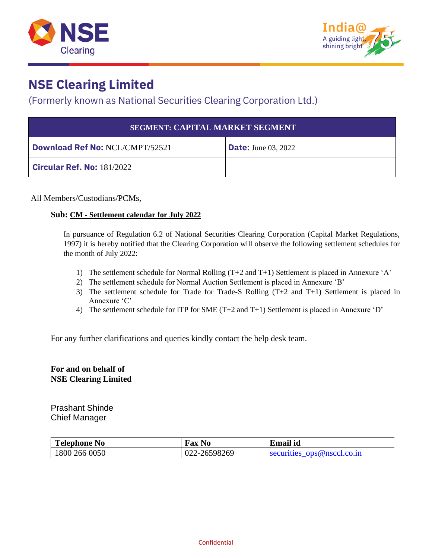



#### (Formerly known as National Securities Clearing Corporation Ltd.)

| <b>SEGMENT: CAPITAL MARKET SEGMENT</b> |                            |  |  |  |
|----------------------------------------|----------------------------|--|--|--|
| <b>Download Ref No: NCL/CMPT/52521</b> | <b>Date:</b> June 03, 2022 |  |  |  |
| <b>Circular Ref. No: 181/2022</b>      |                            |  |  |  |

All Members/Custodians/PCMs,

#### **Sub: CM - Settlement calendar for July 2022**

In pursuance of Regulation 6.2 of National Securities Clearing Corporation (Capital Market Regulations, 1997) it is hereby notified that the Clearing Corporation will observe the following settlement schedules for the month of July 2022:

- 1) The settlement schedule for Normal Rolling (T+2 and T+1) Settlement is placed in Annexure 'A'
- 2) The settlement schedule for Normal Auction Settlement is placed in Annexure 'B'
- 3) The settlement schedule for Trade for Trade-S Rolling (T+2 and T+1) Settlement is placed in Annexure 'C'
- 4) The settlement schedule for ITP for SME (T+2 and T+1) Settlement is placed in Annexure 'D'

For any further clarifications and queries kindly contact the help desk team.

#### **For and on behalf of NSE Clearing Limited**

Prashant Shinde Chief Manager

| <b>Telephone No</b> | <b>Fax No</b> | <b>Email</b> id            |
|---------------------|---------------|----------------------------|
| 1800 266 0050       | 022-26598269  | securities ops@nsccl.co.in |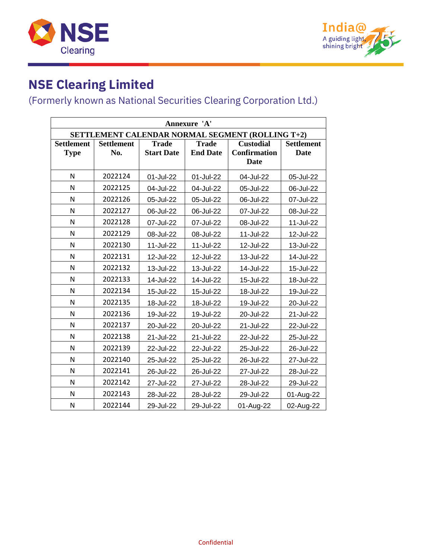



| Annexure 'A'                                     |                                                                       |                   |                 |                     |                   |  |
|--------------------------------------------------|-----------------------------------------------------------------------|-------------------|-----------------|---------------------|-------------------|--|
| SETTLEMENT CALENDAR NORMAL SEGMENT (ROLLING T+2) |                                                                       |                   |                 |                     |                   |  |
| <b>Settlement</b>                                | <b>Trade</b><br><b>Trade</b><br><b>Custodial</b><br><b>Settlement</b> |                   |                 |                     | <b>Settlement</b> |  |
| <b>Type</b>                                      | No.                                                                   | <b>Start Date</b> | <b>End Date</b> | <b>Confirmation</b> | <b>Date</b>       |  |
|                                                  |                                                                       |                   |                 | <b>Date</b>         |                   |  |
| N                                                | 2022124                                                               | 01-Jul-22         | 01-Jul-22       | 04-Jul-22           | 05-Jul-22         |  |
| N                                                | 2022125                                                               | 04-Jul-22         | 04-Jul-22       | 05-Jul-22           | 06-Jul-22         |  |
| N                                                | 2022126                                                               | 05-Jul-22         | 05-Jul-22       | 06-Jul-22           | 07-Jul-22         |  |
| N                                                | 2022127                                                               | 06-Jul-22         | 06-Jul-22       | 07-Jul-22           | 08-Jul-22         |  |
| N                                                | 2022128                                                               | 07-Jul-22         | 07-Jul-22       | 08-Jul-22           | 11-Jul-22         |  |
| N                                                | 2022129                                                               | 08-Jul-22         | 08-Jul-22       | 11-Jul-22           | 12-Jul-22         |  |
| N                                                | 2022130                                                               | 11-Jul-22         | 11-Jul-22       | 12-Jul-22           | 13-Jul-22         |  |
| N                                                | 2022131                                                               | 12-Jul-22         | 12-Jul-22       | 13-Jul-22           | 14-Jul-22         |  |
| N                                                | 2022132                                                               | 13-Jul-22         | 13-Jul-22       | 14-Jul-22           | 15-Jul-22         |  |
| N                                                | 2022133                                                               | 14-Jul-22         | 14-Jul-22       | 15-Jul-22           | 18-Jul-22         |  |
| N                                                | 2022134                                                               | 15-Jul-22         | 15-Jul-22       | 18-Jul-22           | 19-Jul-22         |  |
| N                                                | 2022135                                                               | 18-Jul-22         | 18-Jul-22       | 19-Jul-22           | 20-Jul-22         |  |
| N                                                | 2022136                                                               | 19-Jul-22         | 19-Jul-22       | 20-Jul-22           | 21-Jul-22         |  |
| N                                                | 2022137                                                               | 20-Jul-22         | 20-Jul-22       | 21-Jul-22           | 22-Jul-22         |  |
| N                                                | 2022138                                                               | 21-Jul-22         | 21-Jul-22       | 22-Jul-22           | 25-Jul-22         |  |
| N                                                | 2022139                                                               | 22-Jul-22         | 22-Jul-22       | 25-Jul-22           | 26-Jul-22         |  |
| N                                                | 2022140                                                               | 25-Jul-22         | 25-Jul-22       | 26-Jul-22           | 27-Jul-22         |  |
| N                                                | 2022141                                                               | 26-Jul-22         | 26-Jul-22       | 27-Jul-22           | 28-Jul-22         |  |
| N                                                | 2022142                                                               | 27-Jul-22         | 27-Jul-22       | 28-Jul-22           | 29-Jul-22         |  |
| N                                                | 2022143                                                               | 28-Jul-22         | 28-Jul-22       | 29-Jul-22           | 01-Aug-22         |  |
| N                                                | 2022144                                                               | 29-Jul-22         | 29-Jul-22       | 01-Aug-22           | 02-Aug-22         |  |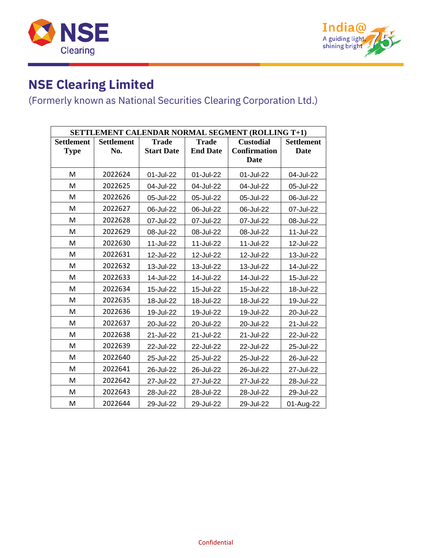



| SETTLEMENT CALENDAR NORMAL SEGMENT (ROLLING T+1) |                   |                   |                 |                     |                   |
|--------------------------------------------------|-------------------|-------------------|-----------------|---------------------|-------------------|
| <b>Settlement</b>                                | <b>Settlement</b> | <b>Trade</b>      | <b>Trade</b>    | <b>Custodial</b>    | <b>Settlement</b> |
| <b>Type</b>                                      | No.               | <b>Start Date</b> | <b>End Date</b> | <b>Confirmation</b> | <b>Date</b>       |
|                                                  |                   |                   |                 | Date                |                   |
| M                                                | 2022624           | 01-Jul-22         | 01-Jul-22       | 01-Jul-22           | 04-Jul-22         |
| M                                                | 2022625           | 04-Jul-22         | 04-Jul-22       | 04-Jul-22           | 05-Jul-22         |
| M                                                | 2022626           | 05-Jul-22         | 05-Jul-22       | 05-Jul-22           | 06-Jul-22         |
| M                                                | 2022627           | 06-Jul-22         | 06-Jul-22       | 06-Jul-22           | 07-Jul-22         |
| M                                                | 2022628           | 07-Jul-22         | 07-Jul-22       | 07-Jul-22           | 08-Jul-22         |
| M                                                | 2022629           | 08-Jul-22         | 08-Jul-22       | 08-Jul-22           | 11-Jul-22         |
| M                                                | 2022630           | 11-Jul-22         | 11-Jul-22       | 11-Jul-22           | 12-Jul-22         |
| M                                                | 2022631           | 12-Jul-22         | 12-Jul-22       | 12-Jul-22           | 13-Jul-22         |
| M                                                | 2022632           | 13-Jul-22         | 13-Jul-22       | 13-Jul-22           | 14-Jul-22         |
| M                                                | 2022633           | 14-Jul-22         | 14-Jul-22       | 14-Jul-22           | 15-Jul-22         |
| M                                                | 2022634           | 15-Jul-22         | 15-Jul-22       | 15-Jul-22           | 18-Jul-22         |
| M                                                | 2022635           | 18-Jul-22         | 18-Jul-22       | 18-Jul-22           | 19-Jul-22         |
| M                                                | 2022636           | 19-Jul-22         | 19-Jul-22       | 19-Jul-22           | 20-Jul-22         |
| M                                                | 2022637           | 20-Jul-22         | 20-Jul-22       | 20-Jul-22           | 21-Jul-22         |
| M                                                | 2022638           | 21-Jul-22         | 21-Jul-22       | 21-Jul-22           | 22-Jul-22         |
| M                                                | 2022639           | 22-Jul-22         | 22-Jul-22       | 22-Jul-22           | 25-Jul-22         |
| M                                                | 2022640           | 25-Jul-22         | 25-Jul-22       | 25-Jul-22           | 26-Jul-22         |
| M                                                | 2022641           | 26-Jul-22         | 26-Jul-22       | 26-Jul-22           | 27-Jul-22         |
| M                                                | 2022642           | 27-Jul-22         | 27-Jul-22       | 27-Jul-22           | 28-Jul-22         |
| M                                                | 2022643           | 28-Jul-22         | 28-Jul-22       | 28-Jul-22           | 29-Jul-22         |
| M                                                | 2022644           | 29-Jul-22         | 29-Jul-22       | 29-Jul-22           | 01-Aug-22         |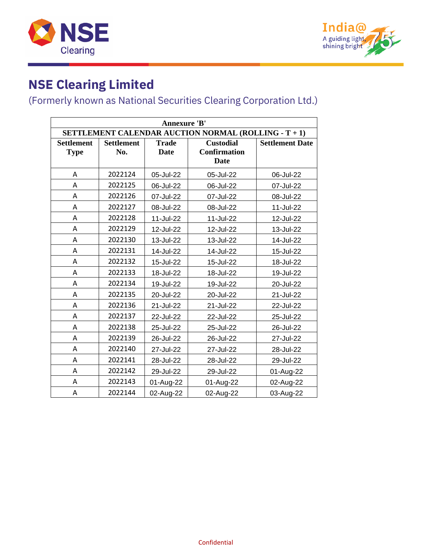



| <b>Annexure 'B'</b>                                  |                          |                             |                                                        |                        |  |  |
|------------------------------------------------------|--------------------------|-----------------------------|--------------------------------------------------------|------------------------|--|--|
| SETTLEMENT CALENDAR AUCTION NORMAL (ROLLING - T + 1) |                          |                             |                                                        |                        |  |  |
| <b>Settlement</b><br><b>Type</b>                     | <b>Settlement</b><br>No. | <b>Trade</b><br><b>Date</b> | <b>Custodial</b><br><b>Confirmation</b><br><b>Date</b> | <b>Settlement Date</b> |  |  |
| А                                                    | 2022124                  | 05-Jul-22                   | 05-Jul-22                                              | 06-Jul-22              |  |  |
| А                                                    | 2022125                  | 06-Jul-22                   | 06-Jul-22                                              | 07-Jul-22              |  |  |
| А                                                    | 2022126                  | 07-Jul-22                   | 07-Jul-22                                              | 08-Jul-22              |  |  |
| Α                                                    | 2022127                  | 08-Jul-22                   | 08-Jul-22                                              | 11-Jul-22              |  |  |
| A                                                    | 2022128                  | 11-Jul-22                   | 11-Jul-22                                              | 12-Jul-22              |  |  |
| Α                                                    | 2022129                  | 12-Jul-22                   | 12-Jul-22                                              | 13-Jul-22              |  |  |
| A                                                    | 2022130                  | 13-Jul-22                   | 13-Jul-22                                              | 14-Jul-22              |  |  |
| A                                                    | 2022131                  | 14-Jul-22                   | 14-Jul-22                                              | 15-Jul-22              |  |  |
| A                                                    | 2022132                  | 15-Jul-22                   | 15-Jul-22                                              | 18-Jul-22              |  |  |
| Α                                                    | 2022133                  | 18-Jul-22                   | 18-Jul-22                                              | 19-Jul-22              |  |  |
| А                                                    | 2022134                  | 19-Jul-22                   | 19-Jul-22                                              | 20-Jul-22              |  |  |
| Α                                                    | 2022135                  | 20-Jul-22                   | 20-Jul-22                                              | 21-Jul-22              |  |  |
| А                                                    | 2022136                  | 21-Jul-22                   | 21-Jul-22                                              | 22-Jul-22              |  |  |
| А                                                    | 2022137                  | 22-Jul-22                   | 22-Jul-22                                              | 25-Jul-22              |  |  |
| A                                                    | 2022138                  | 25-Jul-22                   | 25-Jul-22                                              | 26-Jul-22              |  |  |
| A                                                    | 2022139                  | 26-Jul-22                   | 26-Jul-22                                              | 27-Jul-22              |  |  |
| Α                                                    | 2022140                  | 27-Jul-22                   | 27-Jul-22                                              | 28-Jul-22              |  |  |
| A                                                    | 2022141                  | 28-Jul-22                   | 28-Jul-22                                              | 29-Jul-22              |  |  |
| Α                                                    | 2022142                  | 29-Jul-22                   | 29-Jul-22                                              | 01-Aug-22              |  |  |
| А                                                    | 2022143                  | 01-Aug-22                   | 01-Aug-22                                              | 02-Aug-22              |  |  |
| Α                                                    | 2022144                  | 02-Aug-22                   | 02-Aug-22                                              | 03-Aug-22              |  |  |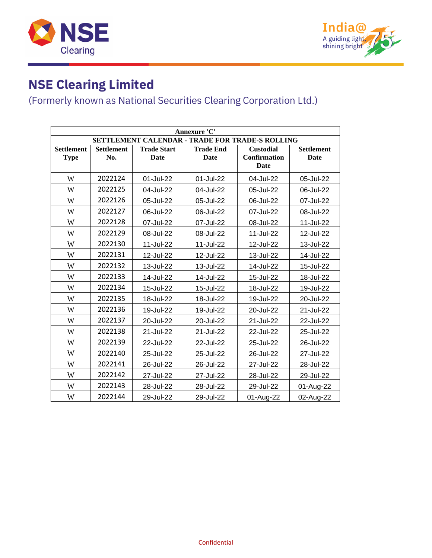



| Annexure 'C'                                    |                          |                            |                          |                                          |                           |  |  |
|-------------------------------------------------|--------------------------|----------------------------|--------------------------|------------------------------------------|---------------------------|--|--|
| SETTLEMENT CALENDAR - TRADE FOR TRADE-S ROLLING |                          |                            |                          |                                          |                           |  |  |
| <b>Settlement</b><br><b>Type</b>                | <b>Settlement</b><br>No. | <b>Trade Start</b><br>Date | <b>Trade End</b><br>Date | <b>Custodial</b><br>Confirmation<br>Date | <b>Settlement</b><br>Date |  |  |
| W                                               | 2022124                  | 01-Jul-22                  | 01-Jul-22                | 04-Jul-22                                | 05-Jul-22                 |  |  |
| W                                               | 2022125                  | 04-Jul-22                  | 04-Jul-22                | 05-Jul-22                                | 06-Jul-22                 |  |  |
| W                                               | 2022126                  | 05-Jul-22                  | 05-Jul-22                | 06-Jul-22                                | 07-Jul-22                 |  |  |
| W                                               | 2022127                  | 06-Jul-22                  | 06-Jul-22                | 07-Jul-22                                | 08-Jul-22                 |  |  |
| W                                               | 2022128                  | 07-Jul-22                  | 07-Jul-22                | 08-Jul-22                                | 11-Jul-22                 |  |  |
| W                                               | 2022129                  | 08-Jul-22                  | 08-Jul-22                | 11-Jul-22                                | 12-Jul-22                 |  |  |
| W                                               | 2022130                  | 11-Jul-22                  | 11-Jul-22                | 12-Jul-22                                | 13-Jul-22                 |  |  |
| W                                               | 2022131                  | 12-Jul-22                  | 12-Jul-22                | 13-Jul-22                                | 14-Jul-22                 |  |  |
| W                                               | 2022132                  | 13-Jul-22                  | 13-Jul-22                | 14-Jul-22                                | 15-Jul-22                 |  |  |
| W                                               | 2022133                  | 14-Jul-22                  | 14-Jul-22                | 15-Jul-22                                | 18-Jul-22                 |  |  |
| W                                               | 2022134                  | 15-Jul-22                  | 15-Jul-22                | 18-Jul-22                                | 19-Jul-22                 |  |  |
| W                                               | 2022135                  | 18-Jul-22                  | 18-Jul-22                | 19-Jul-22                                | 20-Jul-22                 |  |  |
| W                                               | 2022136                  | 19-Jul-22                  | 19-Jul-22                | 20-Jul-22                                | 21-Jul-22                 |  |  |
| W                                               | 2022137                  | 20-Jul-22                  | 20-Jul-22                | 21-Jul-22                                | 22-Jul-22                 |  |  |
| W                                               | 2022138                  | 21-Jul-22                  | 21-Jul-22                | 22-Jul-22                                | 25-Jul-22                 |  |  |
| W                                               | 2022139                  | 22-Jul-22                  | 22-Jul-22                | 25-Jul-22                                | 26-Jul-22                 |  |  |
| W                                               | 2022140                  | 25-Jul-22                  | 25-Jul-22                | 26-Jul-22                                | 27-Jul-22                 |  |  |
| W                                               | 2022141                  | 26-Jul-22                  | 26-Jul-22                | 27-Jul-22                                | 28-Jul-22                 |  |  |
| W                                               | 2022142                  | 27-Jul-22                  | 27-Jul-22                | 28-Jul-22                                | 29-Jul-22                 |  |  |
| W                                               | 2022143                  | 28-Jul-22                  | 28-Jul-22                | 29-Jul-22                                | 01-Aug-22                 |  |  |
| W                                               | 2022144                  | 29-Jul-22                  | 29-Jul-22                | 01-Aug-22                                | 02-Aug-22                 |  |  |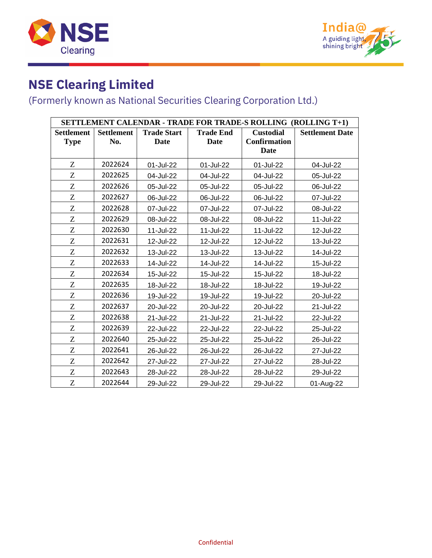



| SETTLEMENT CALENDAR - TRADE FOR TRADE-S ROLLING (ROLLING T+1) |                   |                    |                  |                     |                        |  |  |
|---------------------------------------------------------------|-------------------|--------------------|------------------|---------------------|------------------------|--|--|
| <b>Settlement</b>                                             | <b>Settlement</b> | <b>Trade Start</b> | <b>Trade End</b> | <b>Custodial</b>    | <b>Settlement Date</b> |  |  |
| <b>Type</b>                                                   | No.               | <b>Date</b>        | <b>Date</b>      | <b>Confirmation</b> |                        |  |  |
|                                                               |                   |                    |                  | Date                |                        |  |  |
| Z                                                             | 2022624           | 01-Jul-22          | 01-Jul-22        | 01-Jul-22           | 04-Jul-22              |  |  |
| Z                                                             | 2022625           | 04-Jul-22          | 04-Jul-22        | 04-Jul-22           | 05-Jul-22              |  |  |
| Z                                                             | 2022626           | 05-Jul-22          | 05-Jul-22        | 05-Jul-22           | 06-Jul-22              |  |  |
| Z                                                             | 2022627           | 06-Jul-22          | 06-Jul-22        | 06-Jul-22           | 07-Jul-22              |  |  |
| Z                                                             | 2022628           | 07-Jul-22          | 07-Jul-22        | 07-Jul-22           | 08-Jul-22              |  |  |
| Z                                                             | 2022629           | 08-Jul-22          | 08-Jul-22        | 08-Jul-22           | 11-Jul-22              |  |  |
| Z                                                             | 2022630           | 11-Jul-22          | 11-Jul-22        | 11-Jul-22           | 12-Jul-22              |  |  |
| Z                                                             | 2022631           | 12-Jul-22          | 12-Jul-22        | 12-Jul-22           | 13-Jul-22              |  |  |
| Z                                                             | 2022632           | 13-Jul-22          | 13-Jul-22        | 13-Jul-22           | 14-Jul-22              |  |  |
| Z                                                             | 2022633           | 14-Jul-22          | 14-Jul-22        | 14-Jul-22           | 15-Jul-22              |  |  |
| Z                                                             | 2022634           | 15-Jul-22          | 15-Jul-22        | 15-Jul-22           | 18-Jul-22              |  |  |
| Z                                                             | 2022635           | 18-Jul-22          | 18-Jul-22        | 18-Jul-22           | 19-Jul-22              |  |  |
| Z                                                             | 2022636           | 19-Jul-22          | 19-Jul-22        | 19-Jul-22           | 20-Jul-22              |  |  |
| Z                                                             | 2022637           | 20-Jul-22          | 20-Jul-22        | 20-Jul-22           | 21-Jul-22              |  |  |
| Z                                                             | 2022638           | 21-Jul-22          | 21-Jul-22        | 21-Jul-22           | 22-Jul-22              |  |  |
| Z                                                             | 2022639           | 22-Jul-22          | 22-Jul-22        | 22-Jul-22           | 25-Jul-22              |  |  |
| Z                                                             | 2022640           | 25-Jul-22          | 25-Jul-22        | 25-Jul-22           | 26-Jul-22              |  |  |
| Z                                                             | 2022641           | 26-Jul-22          | 26-Jul-22        | 26-Jul-22           | 27-Jul-22              |  |  |
| Z                                                             | 2022642           | 27-Jul-22          | 27-Jul-22        | 27-Jul-22           | 28-Jul-22              |  |  |
| Z                                                             | 2022643           | 28-Jul-22          | 28-Jul-22        | 28-Jul-22           | 29-Jul-22              |  |  |
| Z                                                             | 2022644           | 29-Jul-22          | 29-Jul-22        | 29-Jul-22           | 01-Aug-22              |  |  |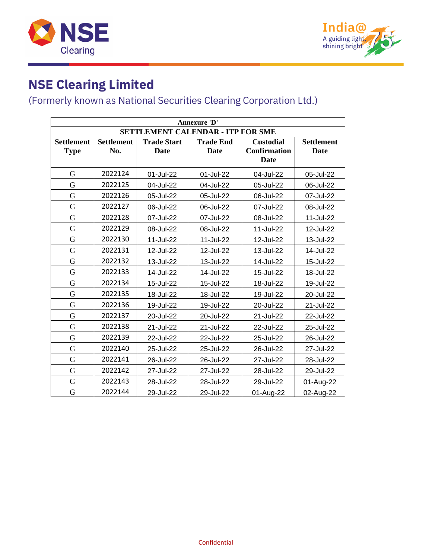



| Annexure 'D'                             |                                                                                                      |             |             |                     |             |  |
|------------------------------------------|------------------------------------------------------------------------------------------------------|-------------|-------------|---------------------|-------------|--|
| <b>SETTLEMENT CALENDAR - ITP FOR SME</b> |                                                                                                      |             |             |                     |             |  |
| <b>Settlement</b>                        | <b>Settlement</b><br><b>Trade Start</b><br><b>Trade End</b><br><b>Custodial</b><br><b>Settlement</b> |             |             |                     |             |  |
| <b>Type</b>                              | No.                                                                                                  | <b>Date</b> | <b>Date</b> | <b>Confirmation</b> | <b>Date</b> |  |
|                                          |                                                                                                      |             |             | <b>Date</b>         |             |  |
| G                                        | 2022124                                                                                              | 01-Jul-22   | 01-Jul-22   | 04-Jul-22           | 05-Jul-22   |  |
| G                                        | 2022125                                                                                              | 04-Jul-22   | 04-Jul-22   | 05-Jul-22           | 06-Jul-22   |  |
| G                                        | 2022126                                                                                              | 05-Jul-22   | 05-Jul-22   | 06-Jul-22           | 07-Jul-22   |  |
| G                                        | 2022127                                                                                              | 06-Jul-22   | 06-Jul-22   | 07-Jul-22           | 08-Jul-22   |  |
| G                                        | 2022128                                                                                              | 07-Jul-22   | 07-Jul-22   | 08-Jul-22           | 11-Jul-22   |  |
| G                                        | 2022129                                                                                              | 08-Jul-22   | 08-Jul-22   | 11-Jul-22           | 12-Jul-22   |  |
| G                                        | 2022130                                                                                              | 11-Jul-22   | 11-Jul-22   | 12-Jul-22           | 13-Jul-22   |  |
| G                                        | 2022131                                                                                              | 12-Jul-22   | 12-Jul-22   | 13-Jul-22           | 14-Jul-22   |  |
| G                                        | 2022132                                                                                              | 13-Jul-22   | 13-Jul-22   | 14-Jul-22           | 15-Jul-22   |  |
| G                                        | 2022133                                                                                              | 14-Jul-22   | 14-Jul-22   | 15-Jul-22           | 18-Jul-22   |  |
| G                                        | 2022134                                                                                              | 15-Jul-22   | 15-Jul-22   | 18-Jul-22           | 19-Jul-22   |  |
| G                                        | 2022135                                                                                              | 18-Jul-22   | 18-Jul-22   | 19-Jul-22           | 20-Jul-22   |  |
| G                                        | 2022136                                                                                              | 19-Jul-22   | 19-Jul-22   | 20-Jul-22           | 21-Jul-22   |  |
| G                                        | 2022137                                                                                              | 20-Jul-22   | 20-Jul-22   | 21-Jul-22           | 22-Jul-22   |  |
| G                                        | 2022138                                                                                              | 21-Jul-22   | 21-Jul-22   | 22-Jul-22           | 25-Jul-22   |  |
| G                                        | 2022139                                                                                              | 22-Jul-22   | 22-Jul-22   | 25-Jul-22           | 26-Jul-22   |  |
| G                                        | 2022140                                                                                              | 25-Jul-22   | 25-Jul-22   | 26-Jul-22           | 27-Jul-22   |  |
| G                                        | 2022141                                                                                              | 26-Jul-22   | 26-Jul-22   | 27-Jul-22           | 28-Jul-22   |  |
| G                                        | 2022142                                                                                              | 27-Jul-22   | 27-Jul-22   | 28-Jul-22           | 29-Jul-22   |  |
| G                                        | 2022143                                                                                              | 28-Jul-22   | 28-Jul-22   | 29-Jul-22           | 01-Aug-22   |  |
| G                                        | 2022144                                                                                              | 29-Jul-22   | 29-Jul-22   | 01-Aug-22           | 02-Aug-22   |  |